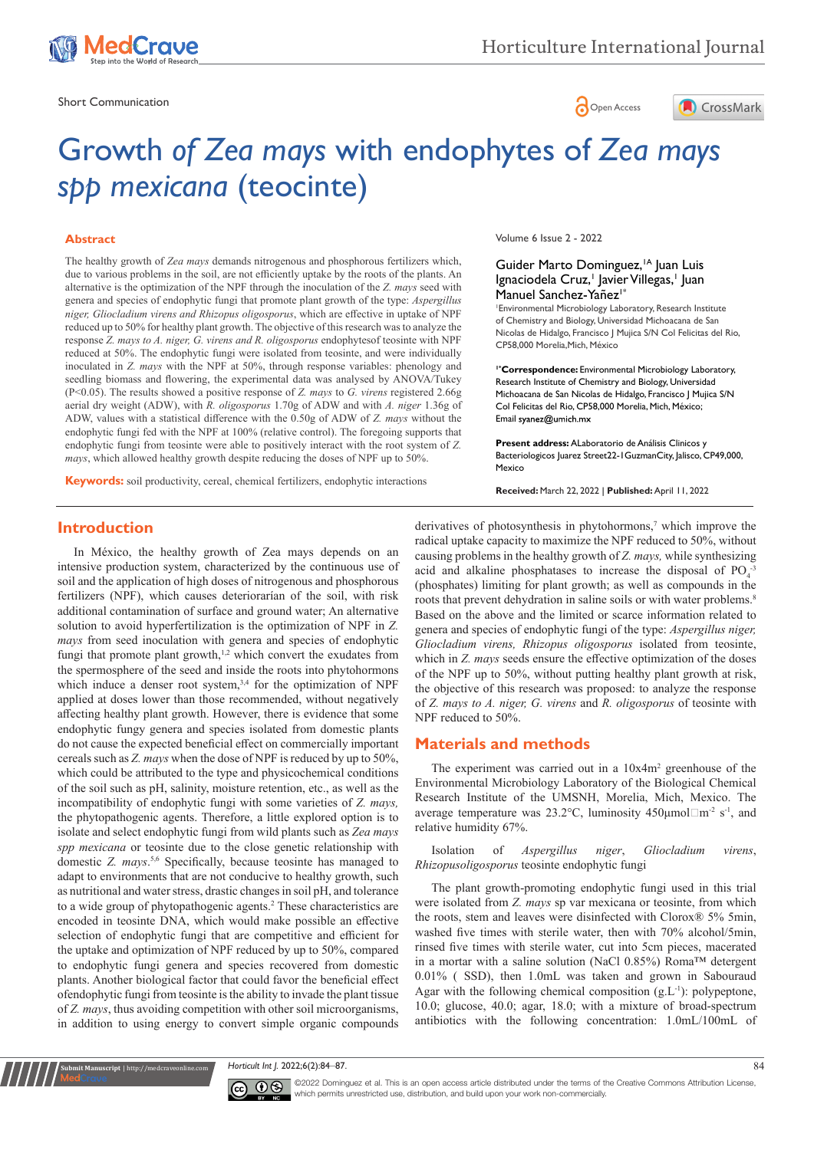

Short Communication  $\bigcap_{\Omega}$  Open Access



# Growth *of Zea mays* with endophytes of *Zea mays spp mexicana* (teocinte)

#### **Abstract**

The healthy growth of *Zea mays* demands nitrogenous and phosphorous fertilizers which, due to various problems in the soil, are not efficiently uptake by the roots of the plants. An alternative is the optimization of the NPF through the inoculation of the *Z. mays* seed with genera and species of endophytic fungi that promote plant growth of the type: *Aspergillus niger, Gliocladium virens and Rhizopus oligosporus*, which are effective in uptake of NPF reduced up to 50% for healthy plant growth. The objective of this research was to analyze the response *Z. mays to A. niger, G. virens and R. oligosporus* endophytesof teosinte with NPF reduced at 50%. The endophytic fungi were isolated from teosinte, and were individually inoculated in *Z. mays* with the NPF at 50%, through response variables: phenology and seedling biomass and flowering, the experimental data was analysed by ANOVA/Tukey (P<0.05). The results showed a positive response of *Z. mays* to *G. virens* registered 2.66g aerial dry weight (ADW), with *R. oligosporus* 1.70g of ADW and with *A. niger* 1.36g of ADW, values with a statistical difference with the 0.50g of ADW of *Z. mays* without the endophytic fungi fed with the NPF at 100% (relative control). The foregoing supports that endophytic fungi from teosinte were able to positively interact with the root system of *Z. mays*, which allowed healthy growth despite reducing the doses of NPF up to 50%.

**Keywords:** soil productivity, cereal, chemical fertilizers, endophytic interactions

Volume 6 Issue 2 - 2022

#### Guider Marto Dominguez,<sup>1A</sup> Juan Luis Ignaciodela Cruz,<sup>1</sup> Javier Villegas,<sup>1</sup> Juan Manuel Sanchez-Yañez<sup>1\*</sup>

1 Environmental Microbiology Laboratory, Research Institute of Chemistry and Biology, Universidad Michoacana de San Nicolas de Hidalgo, Francisco J Mujica S/N Col Felicitas del Rio, CP58,000 Morelia,Mich, México

**1\*Correspondence:** Environmental Microbiology Laboratory, Research Institute of Chemistry and Biology, Universidad Michoacana de San Nicolas de Hidalgo, Francisco J Mujica S/N Col Felicitas del Rio, CP58,000 Morelia, Mich, México; Email syanez@umich.mx

**Present address:** ALaboratorio de Análisis Clinicos y Bacteriologicos Juarez Street22-1GuzmanCity, Jalisco, CP49,000, Mexico

**Received:** March 22, 2022 | **Published:** April 11, 2022

# **Introduction**

In México, the healthy growth of Zea mays depends on an intensive production system, characterized by the continuous use of soil and the application of high doses of nitrogenous and phosphorous fertilizers (NPF), which causes deteriorarían of the soil, with risk additional contamination of surface and ground water; An alternative solution to avoid hyperfertilization is the optimization of NPF in *Z. mays* from seed inoculation with genera and species of endophytic fungi that promote plant growth, $1,2$  which convert the exudates from the spermosphere of the seed and inside the roots into phytohormons which induce a denser root system,<sup>3,4</sup> for the optimization of NPF applied at doses lower than those recommended, without negatively affecting healthy plant growth. However, there is evidence that some endophytic fungy genera and species isolated from domestic plants do not cause the expected beneficial effect on commercially important cereals such as *Z. mays* when the dose of NPF is reduced by up to 50%, which could be attributed to the type and physicochemical conditions of the soil such as pH, salinity, moisture retention, etc., as well as the incompatibility of endophytic fungi with some varieties of *Z. mays,* the phytopathogenic agents. Therefore, a little explored option is to isolate and select endophytic fungi from wild plants such as *Zea mays spp mexicana* or teosinte due to the close genetic relationship with domestic *Z. mays*. 5,6 Specifically, because teosinte has managed to adapt to environments that are not conducive to healthy growth, such as nutritional and water stress, drastic changes in soil pH, and tolerance to a wide group of phytopathogenic agents.<sup>2</sup> These characteristics are encoded in teosinte DNA, which would make possible an effective selection of endophytic fungi that are competitive and efficient for the uptake and optimization of NPF reduced by up to 50%, compared to endophytic fungi genera and species recovered from domestic plants. Another biological factor that could favor the beneficial effect ofendophytic fungi from teosinte is the ability to invade the plant tissue of *Z. mays*, thus avoiding competition with other soil microorganisms, in addition to using energy to convert simple organic compounds

derivatives of photosynthesis in phytohormons,<sup>7</sup> which improve the radical uptake capacity to maximize the NPF reduced to 50%, without causing problems in the healthy growth of *Z. mays,* while synthesizing acid and alkaline phosphatases to increase the disposal of  $PO<sub>4</sub><sup>-3</sup>$ (phosphates) limiting for plant growth; as well as compounds in the roots that prevent dehydration in saline soils or with water problems.<sup>8</sup> Based on the above and the limited or scarce information related to genera and species of endophytic fungi of the type: *Aspergillus niger, Gliocladium virens, Rhizopus oligosporus* isolated from teosinte, which in *Z. mays* seeds ensure the effective optimization of the doses of the NPF up to 50%, without putting healthy plant growth at risk, the objective of this research was proposed: to analyze the response of *Z. mays to A. niger, G. virens* and *R. oligosporus* of teosinte with NPF reduced to 50%.

## **Materials and methods**

The experiment was carried out in a  $10x4m^2$  greenhouse of the Environmental Microbiology Laboratory of the Biological Chemical Research Institute of the UMSNH, Morelia, Mich, Mexico. The average temperature was 23.2°C, luminosity  $450 \mu \text{mol} \square \text{m}^{-2} \text{ s}^{-1}$ , and relative humidity 67%.

Isolation of *Aspergillus niger*, *Gliocladium virens*, *Rhizopusoligosporus* teosinte endophytic fungi

The plant growth-promoting endophytic fungi used in this trial were isolated from *Z. mays* sp var mexicana or teosinte, from which the roots, stem and leaves were disinfected with Clorox® 5% 5min, washed five times with sterile water, then with 70% alcohol/5min, rinsed five times with sterile water, cut into 5cm pieces, macerated in a mortar with a saline solution (NaCl 0.85%) Roma™ detergent 0.01% ( SSD), then 1.0mL was taken and grown in Sabouraud Agar with the following chemical composition  $(g<sub>L<sup>-1</sup>)</sub>$ : polypeptone, 10.0; glucose, 40.0; agar, 18.0; with a mixture of broad-spectrum antibiotics with the following concentration: 1.0mL/100mL of

#### *Horticult Int J.* 2022;6(2):84‒87. 84



**Krit Manuscript** | http://medcraveonline.c

©2022 Dominguez et al. This is an open access article distributed under the terms of the Creative Commons Attribution License, which permits unrestricted use, distribution, and build upon your work non-commercially.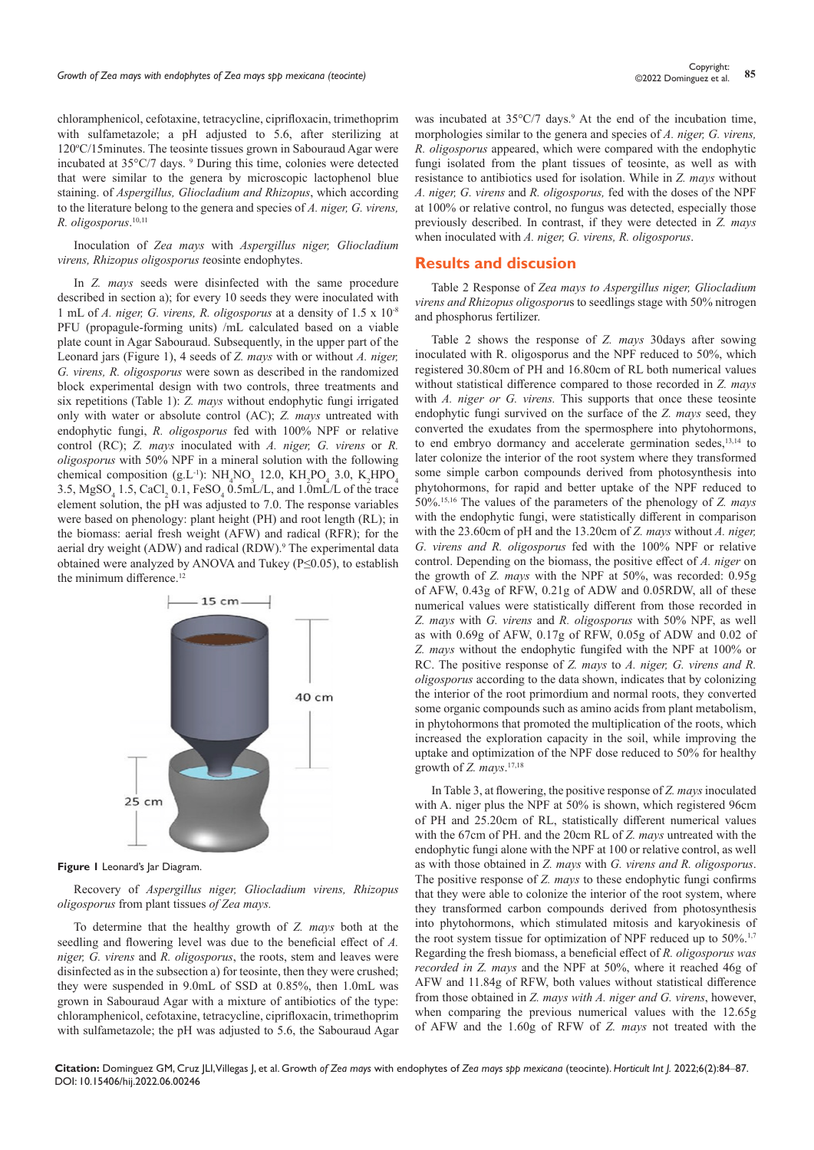chloramphenicol, cefotaxine, tetracycline, ciprifloxacin, trimethoprim with sulfametazole; a pH adjusted to 5.6, after sterilizing at 120°C/15minutes. The teosinte tissues grown in Sabouraud Agar were incubated at 35°C/7 days. <sup>9</sup> During this time, colonies were detected that were similar to the genera by microscopic lactophenol blue staining. of *Aspergillus, Gliocladium and Rhizopus*, which according to the literature belong to the genera and species of *A. niger, G. virens, R. oligosporus*. 10,11

Inoculation of *Zea mays* with *Aspergillus niger, Gliocladium virens, Rhizopus oligosporus t*eosinte endophytes.

In *Z. mays* seeds were disinfected with the same procedure described in section a); for every 10 seeds they were inoculated with 1 mL of *A. niger, G. virens, R. oligosporus* at a density of 1.5 x 10-8 PFU (propagule-forming units) /mL calculated based on a viable plate count in Agar Sabouraud. Subsequently, in the upper part of the Leonard jars (Figure 1), 4 seeds of *Z. mays* with or without *A. niger, G. virens, R. oligosporus* were sown as described in the randomized block experimental design with two controls, three treatments and six repetitions (Table 1): *Z. mays* without endophytic fungi irrigated only with water or absolute control (AC); *Z. mays* untreated with endophytic fungi, *R. oligosporus* fed with 100% NPF or relative control (RC); *Z. mays* inoculated with *A. niger, G. virens* or *R. oligosporus* with 50% NPF in a mineral solution with the following chemical composition (g.L<sup>-1</sup>):  $NH_4NO_3$  12.0,  $KH_2PO_4$  3.0,  $K_2HPO_4$ 3.5,  $MgSO_4$  1.5,  $CaCl_2$  0.1,  $FeSO_4$  0.5mL/L, and 1.0mL/L of the trace element solution, the pH was adjusted to 7.0. The response variables were based on phenology: plant height (PH) and root length (RL); in the biomass: aerial fresh weight (AFW) and radical (RFR); for the aerial dry weight (ADW) and radical (RDW).<sup>9</sup> The experimental data obtained were analyzed by ANOVA and Tukey (P≤0.05), to establish the minimum difference.<sup>12</sup>



**Figure 1** Leonard's lar Diagram.

Recovery of *Aspergillus niger, Gliocladium virens, Rhizopus oligosporus* from plant tissues *of Zea mays.*

To determine that the healthy growth of *Z. mays* both at the seedling and flowering level was due to the beneficial effect of *A. niger, G. virens* and *R. oligosporus*, the roots, stem and leaves were disinfected as in the subsection a) for teosinte, then they were crushed; they were suspended in 9.0mL of SSD at 0.85%, then 1.0mL was grown in Sabouraud Agar with a mixture of antibiotics of the type: chloramphenicol, cefotaxine, tetracycline, ciprifloxacin, trimethoprim with sulfametazole; the pH was adjusted to 5.6, the Sabouraud Agar

was incubated at  $35^{\circ}$ C/7 days.<sup>9</sup> At the end of the incubation time, morphologies similar to the genera and species of *A. niger, G. virens, R. oligosporus* appeared, which were compared with the endophytic fungi isolated from the plant tissues of teosinte, as well as with resistance to antibiotics used for isolation. While in *Z. mays* without *A. niger, G. virens* and *R. oligosporus,* fed with the doses of the NPF at 100% or relative control, no fungus was detected, especially those previously described. In contrast, if they were detected in *Z. mays*  when inoculated with *A. niger, G. virens, R. oligosporus*.

#### **Results and discusion**

Table 2 Response of *Zea mays to Aspergillus niger, Gliocladium virens and Rhizopus oligosporu*s to seedlings stage with 50% nitrogen and phosphorus fertilizer.

Table 2 shows the response of *Z. mays* 30days after sowing inoculated with R. oligosporus and the NPF reduced to 50%, which registered 30.80cm of PH and 16.80cm of RL both numerical values without statistical difference compared to those recorded in *Z. mays*  with *A. niger or G. virens.* This supports that once these teosinte endophytic fungi survived on the surface of the *Z. mays* seed, they converted the exudates from the spermosphere into phytohormons, to end embryo dormancy and accelerate germination sedes,<sup>13,14</sup> to later colonize the interior of the root system where they transformed some simple carbon compounds derived from photosynthesis into phytohormons, for rapid and better uptake of the NPF reduced to 50%.15,16 The values of the parameters of the phenology of *Z. mays*  with the endophytic fungi, were statistically different in comparison with the 23.60cm of pH and the 13.20cm of *Z. mays* without *A. niger, G. virens and R. oligosporus* fed with the 100% NPF or relative control. Depending on the biomass, the positive effect of *A. niger* on the growth of *Z. mays* with the NPF at 50%, was recorded: 0.95g of AFW, 0.43g of RFW, 0.21g of ADW and 0.05RDW, all of these numerical values were statistically different from those recorded in *Z. mays* with *G. virens* and *R. oligosporus* with 50% NPF, as well as with 0.69g of AFW, 0.17g of RFW, 0.05g of ADW and 0.02 of *Z. mays* without the endophytic fungifed with the NPF at 100% or RC. The positive response of *Z. mays* to *A. niger, G. virens and R. oligosporus* according to the data shown, indicates that by colonizing the interior of the root primordium and normal roots, they converted some organic compounds such as amino acids from plant metabolism, in phytohormons that promoted the multiplication of the roots, which increased the exploration capacity in the soil, while improving the uptake and optimization of the NPF dose reduced to 50% for healthy growth of *Z. mays*. 17,18

In Table 3, at flowering, the positive response of *Z. mays* inoculated with A. niger plus the NPF at 50% is shown, which registered 96cm of PH and 25.20cm of RL, statistically different numerical values with the 67cm of PH. and the 20cm RL of *Z. mays* untreated with the endophytic fungi alone with the NPF at 100 or relative control, as well as with those obtained in *Z. mays* with *G. virens and R. oligosporus*. The positive response of *Z. mays* to these endophytic fungi confirms that they were able to colonize the interior of the root system, where they transformed carbon compounds derived from photosynthesis into phytohormons, which stimulated mitosis and karyokinesis of the root system tissue for optimization of NPF reduced up to 50%.<sup>1,7</sup> Regarding the fresh biomass, a beneficial effect of *R. oligosporus was recorded in Z. mays* and the NPF at 50%, where it reached 46g of AFW and 11.84g of RFW, both values without statistical difference from those obtained in *Z. mays with A. niger and G. virens*, however, when comparing the previous numerical values with the 12.65g of AFW and the 1.60g of RFW of *Z. mays* not treated with the

**Citation:** Dominguez GM, Cruz JLI, Villegas J, et al. Growth *of Zea mays* with endophytes of *Zea mays spp mexicana* (teocinte). *Horticult Int J.* 2022;6(2):84‒87. DOI: [10.15406/hij.2022.06.00246](https://doi.org/10.15406/hij.2022.06.00246)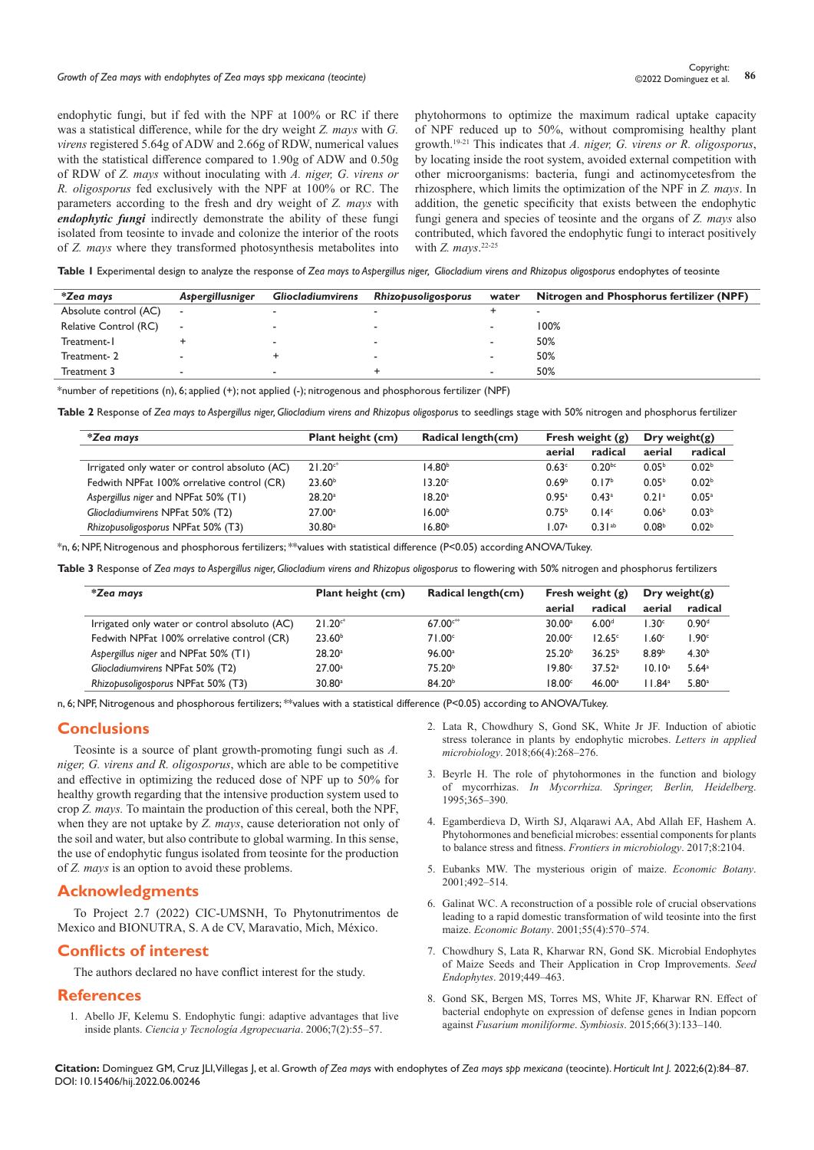# *Growth of Zea mays with endophytes of Zea mays spp mexicana (teocinte)* **<sup>86</sup>** Copyright:

endophytic fungi, but if fed with the NPF at 100% or RC if there was a statistical difference, while for the dry weight *Z. mays* with *G. virens* registered 5.64g of ADW and 2.66g of RDW, numerical values with the statistical difference compared to 1.90g of ADW and 0.50g of RDW of *Z. mays* without inoculating with *A. niger, G. virens or R. oligosporus* fed exclusively with the NPF at 100% or RC. The parameters according to the fresh and dry weight of *Z. mays* with *endophytic fungi* indirectly demonstrate the ability of these fungi isolated from teosinte to invade and colonize the interior of the roots of *Z. mays* where they transformed photosynthesis metabolites into phytohormons to optimize the maximum radical uptake capacity of NPF reduced up to 50%, without compromising healthy plant growth.19-21 This indicates that *A. niger, G. virens or R. oligosporus*, by locating inside the root system, avoided external competition with other microorganisms: bacteria, fungi and actinomycetesfrom the rhizosphere, which limits the optimization of the NPF in *Z. mays*. In addition, the genetic specificity that exists between the endophytic fungi genera and species of teosinte and the organs of *Z. mays* also contributed, which favored the endophytic fungi to interact positively with *Z. mays*. 22-25

Table I Experimental design to analyze the response of Zea mays to Aspergillus niger, Gliocladium virens and Rhizopus oligosporus endophytes of teosinte

| *Zea mays             | Aspergillusniger         | <b>Gliocladiumvirens</b> | Rhizopusoligosporus | water                    | Nitrogen and Phosphorus fertilizer (NPF) |  |  |  |
|-----------------------|--------------------------|--------------------------|---------------------|--------------------------|------------------------------------------|--|--|--|
| Absolute control (AC) | $\overline{\phantom{a}}$ |                          |                     |                          |                                          |  |  |  |
| Relative Control (RC) | ٠                        |                          |                     | $\overline{\phantom{a}}$ | 100%                                     |  |  |  |
| Treatment-1           |                          | -                        |                     | $\overline{\phantom{0}}$ | 50%                                      |  |  |  |
| Treatment-2           |                          |                          |                     | $\sim$                   | 50%                                      |  |  |  |
| Treatment 3           |                          |                          |                     | $\overline{\phantom{a}}$ | 50%                                      |  |  |  |

\*number of repetitions (n), 6; applied (+); not applied (-); nitrogenous and phosphorous fertilizer (NPF)

**Table 2** Response of *Zea mays to Aspergillus niger, Gliocladium virens and Rhizopus oligosporu*s to seedlings stage with 50% nitrogen and phosphorus fertilizer

| *Zea mays                                     | <b>Plant height (cm)</b> | Radical length(cm) | Fresh weight $(g)$ |                   | Dry weight(g)     |                   |
|-----------------------------------------------|--------------------------|--------------------|--------------------|-------------------|-------------------|-------------------|
|                                               |                          |                    | aerial             | radical           | aerial            | radical           |
| Irrigated only water or control absoluto (AC) | $21.20c*$                | 14.80 <sup>b</sup> | 0.63c              | $0.20^{bc}$       | 0.05 <sup>b</sup> | 0.02 <sup>b</sup> |
| Fedwith NPFat 100% orrelative control (CR)    | 23.60 <sup>b</sup>       | 13.20 <sup>c</sup> | 0.69 <sup>b</sup>  | 0.17 <sup>b</sup> | 0.05 <sup>b</sup> | 0.02 <sup>b</sup> |
| Aspergillus niger and NPFat 50% (T1)          | 28.20a                   | 18.20 <sup>a</sup> | 0.95a              | 0.43a             | 0.21a             | 0.05 <sup>a</sup> |
| Gliocladiumvirens NPFat 50% (T2)              | 27.00a                   | 16.00 <sup>b</sup> | 0.75 <sup>b</sup>  | 0.14 <sup>c</sup> | 0.06 <sup>b</sup> | 0.03 <sup>b</sup> |
| Rhizopusoligosporus NPFat 50% (T3)            | $30.80$ <sup>a</sup>     | 16.80 <sup>b</sup> | 1.07a              | $0.31^{ab}$       | 0.08 <sup>b</sup> | 0.02 <sup>b</sup> |

\*n, 6; NPF, Nitrogenous and phosphorous fertilizers; \*\*values with statistical difference (P<0.05) according ANOVA/Tukey.

**Table 3** Response of *Zea mays to Aspergillus niger, Gliocladium virens and Rhizopus oligosporus* to flowering with 50% nitrogen and phosphorus fertilizers

| *Zea mays                                     | Plant height (cm)    | Radical length(cm) | Fresh weight $(g)$ |                    | Dry weight(g)      |                     |
|-----------------------------------------------|----------------------|--------------------|--------------------|--------------------|--------------------|---------------------|
|                                               |                      |                    | aerial             | radical            | aerial             | radical             |
| Irrigated only water or control absoluto (AC) | $21.20c*$            | $67.00c***$        | 30.00a             | 6.00 <sup>d</sup>  | 1.30c              | 0.90 <sup>d</sup>   |
| Fedwith NPFat 100% orrelative control (CR)    | 23.60 <sup>b</sup>   | 71.00 <sup>c</sup> | 20.00 <sup>c</sup> | 12.65 <sup>c</sup> | 1.60 <sup>c</sup>  | 1.90c               |
| Aspergillus niger and NPFat 50% (T1)          | 28.20a               | 96.00a             | 25.20 <sup>b</sup> | $36.25^{b}$        | 8.89 <sup>b</sup>  | 4.30 <sup>b</sup>   |
| Gliocladiumvirens NPFat 50% (T2)              | 27.00a               | 75.20 <sup>b</sup> | $19.80^\circ$      | 37.52 <sup>a</sup> | 10.10 <sup>a</sup> | $5.64$ <sup>a</sup> |
| Rhizopusoligosporus NPFat 50% (T3)            | $30.80$ <sup>a</sup> | 84.20 <sup>b</sup> | 18.00c             | 46.00a             | 11.84 <sup>a</sup> | 5.80 <sup>a</sup>   |

n, 6; NPF, Nitrogenous and phosphorous fertilizers; \*\*values with a statistical difference (P<0.05) according to ANOVA/Tukey.

# **Conclusions**

Teosinte is a source of plant growth-promoting fungi such as *A. niger, G. virens and R. oligosporus*, which are able to be competitive and effective in optimizing the reduced dose of NPF up to 50% for healthy growth regarding that the intensive production system used to crop *Z. mays.* To maintain the production of this cereal, both the NPF, when they are not uptake by *Z. mays*, cause deterioration not only of the soil and water, but also contribute to global warming. In this sense, the use of endophytic fungus isolated from teosinte for the production of *Z. mays* is an option to avoid these problems.

# **Acknowledgments**

To Project 2.7 (2022) CIC-UMSNH, To Phytonutrimentos de Mexico and BIONUTRA, S. A de CV, Maravatio, Mich, México.

# **Conflicts of interest**

The authors declared no have conflict interest for the study.

### **References**

1. [Abello JF, Kelemu S. Endophytic fungi: adaptive advantages that live](https://www.redalyc.org/pdf/4499/449945021006.pdf)  inside plants. *[Ciencia y Tecnología Agropecuaria](https://www.redalyc.org/pdf/4499/449945021006.pdf)*. 2006;7(2):55‒57.

- 2. [Lata R, Chowdhury S, Gond SK, White Jr JF. Induction of abiotic](https://scholar.google.co.in/scholar?q=Induction+of+abiotic+stress+tolerance+in+plants+by+endophytic+microbes&hl=en&as_sdt=0&as_vis=1&oi=scholart)  [stress tolerance in plants by endophytic microbes.](https://scholar.google.co.in/scholar?q=Induction+of+abiotic+stress+tolerance+in+plants+by+endophytic+microbes&hl=en&as_sdt=0&as_vis=1&oi=scholart) *Letters in applied microbiology*[. 2018;66\(4\):268‒276.](https://scholar.google.co.in/scholar?q=Induction+of+abiotic+stress+tolerance+in+plants+by+endophytic+microbes&hl=en&as_sdt=0&as_vis=1&oi=scholart)
- 3. [Beyrle H. The role of phytohormones in the function and biology](https://link.springer.com/chapter/10.1007/978-3-662-08897-5_16)  of mycorrhizas. *In [Mycorrhiza. Springer, Berlin, Heidelberg](https://link.springer.com/chapter/10.1007/978-3-662-08897-5_16)*. [1995;365‒390.](https://link.springer.com/chapter/10.1007/978-3-662-08897-5_16)
- 4. [Egamberdieva D, Wirth SJ, Alqarawi AA, Abd Allah EF, Hashem A.](https://www.frontiersin.org/articles/10.3389/fmicb.2017.02104/full)  [Phytohormones and beneficial microbes: essential components for plants](https://www.frontiersin.org/articles/10.3389/fmicb.2017.02104/full)  [to balance stress and fitness.](https://www.frontiersin.org/articles/10.3389/fmicb.2017.02104/full) *Frontiers in microbiology*. 2017;8:2104.
- 5. [Eubanks MW. The mysterious origin of maize.](https://www.jstor.org/stable/4256485) *Economic Botany*. [2001;492‒514.](https://www.jstor.org/stable/4256485)
- 6. [Galinat WC. A reconstruction of a possible role of crucial observations](https://www.jstor.org/stable/4256491)  [leading to a rapid domestic transformation of wild teosinte into the first](https://www.jstor.org/stable/4256491)  maize. *Economic Botany*[. 2001;55\(4\):570‒574.](https://www.jstor.org/stable/4256491)
- 7. [Chowdhury S, Lata R, Kharwar RN, Gond SK. Microbial Endophytes](https://link.springer.com/chapter/10.1007/978-3-030-10504-4_21)  [of Maize Seeds and Their Application in Crop Improvements.](https://link.springer.com/chapter/10.1007/978-3-030-10504-4_21) *Seed Endophytes*[. 2019;449‒463.](https://link.springer.com/chapter/10.1007/978-3-030-10504-4_21)
- 8. [Gond SK, Bergen MS, Torres MS, White JF, Kharwar RN. Effect of](https://link.springer.com/article/10.1007/s13199-015-0348-9)  [bacterial endophyte on expression of defense genes in Indian popcorn](https://link.springer.com/article/10.1007/s13199-015-0348-9)  against *[Fusarium moniliforme](https://link.springer.com/article/10.1007/s13199-015-0348-9)*. *Symbiosis*. 2015;66(3):133‒140.

**Citation:** Dominguez GM, Cruz JLI, Villegas J, et al. Growth *of Zea mays* with endophytes of *Zea mays spp mexicana* (teocinte). *Horticult Int J.* 2022;6(2):84‒87. DOI: [10.15406/hij.2022.06.00246](https://doi.org/10.15406/hij.2022.06.00246)